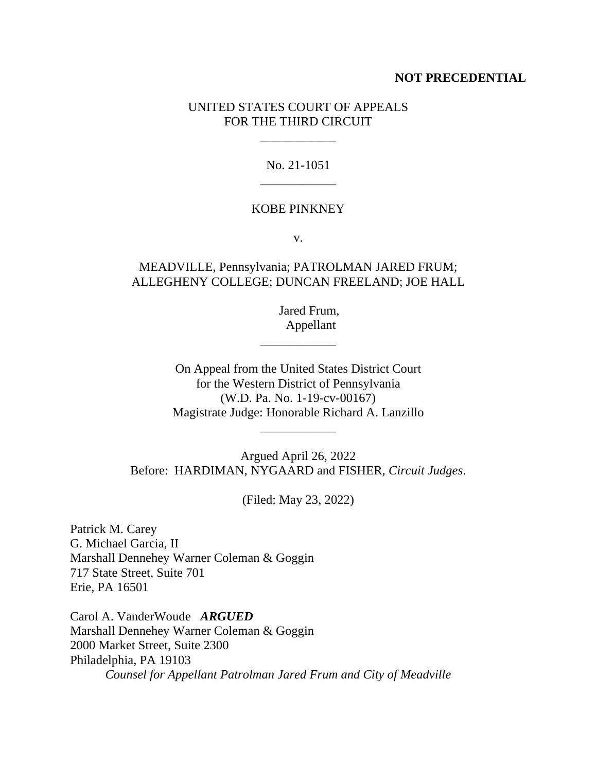### **NOT PRECEDENTIAL**

### UNITED STATES COURT OF APPEALS FOR THE THIRD CIRCUIT

\_\_\_\_\_\_\_\_\_\_\_\_

## No. 21-1051 \_\_\_\_\_\_\_\_\_\_\_\_

#### KOBE PINKNEY

v.

## MEADVILLE, Pennsylvania; PATROLMAN JARED FRUM; ALLEGHENY COLLEGE; DUNCAN FREELAND; JOE HALL

 Jared Frum, Appellant

On Appeal from the United States District Court for the Western District of Pennsylvania (W.D. Pa. No. 1-19-cv-00167) Magistrate Judge: Honorable Richard A. Lanzillo

\_\_\_\_\_\_\_\_\_\_\_\_

\_\_\_\_\_\_\_\_\_\_\_\_

Argued April 26, 2022 Before: HARDIMAN, NYGAARD and FISHER, *Circuit Judges*.

(Filed: May 23, 2022)

Patrick M. Carey G. Michael Garcia, II Marshall Dennehey Warner Coleman & Goggin 717 State Street, Suite 701 Erie, PA 16501

Carol A. VanderWoude *ARGUED* Marshall Dennehey Warner Coleman & Goggin 2000 Market Street, Suite 2300 Philadelphia, PA 19103 *Counsel for Appellant Patrolman Jared Frum and City of Meadville*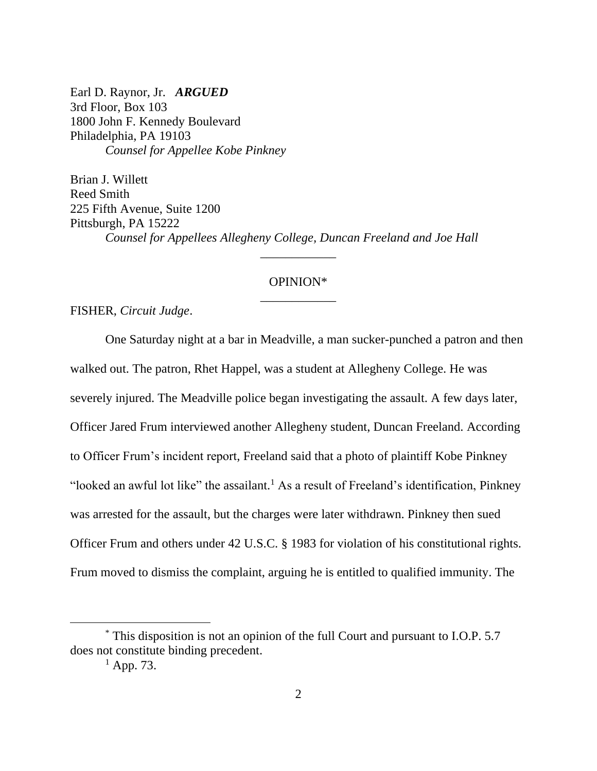Earl D. Raynor, Jr. *ARGUED* 3rd Floor, Box 103 1800 John F. Kennedy Boulevard Philadelphia, PA 19103 *Counsel for Appellee Kobe Pinkney*

Brian J. Willett Reed Smith 225 Fifth Avenue, Suite 1200 Pittsburgh, PA 15222 *Counsel for Appellees Allegheny College, Duncan Freeland and Joe Hall* 

# OPINION\* \_\_\_\_\_\_\_\_\_\_\_\_

\_\_\_\_\_\_\_\_\_\_\_\_

FISHER, *Circuit Judge*.

One Saturday night at a bar in Meadville, a man sucker-punched a patron and then walked out. The patron, Rhet Happel, was a student at Allegheny College. He was severely injured. The Meadville police began investigating the assault. A few days later, Officer Jared Frum interviewed another Allegheny student, Duncan Freeland. According to Officer Frum's incident report, Freeland said that a photo of plaintiff Kobe Pinkney "looked an awful lot like" the assailant.<sup>1</sup> As a result of Freeland's identification, Pinkney was arrested for the assault, but the charges were later withdrawn. Pinkney then sued Officer Frum and others under 42 U.S.C. § 1983 for violation of his constitutional rights. Frum moved to dismiss the complaint, arguing he is entitled to qualified immunity. The

<sup>\*</sup> This disposition is not an opinion of the full Court and pursuant to I.O.P. 5.7 does not constitute binding precedent.

 $<sup>1</sup>$  App. 73.</sup>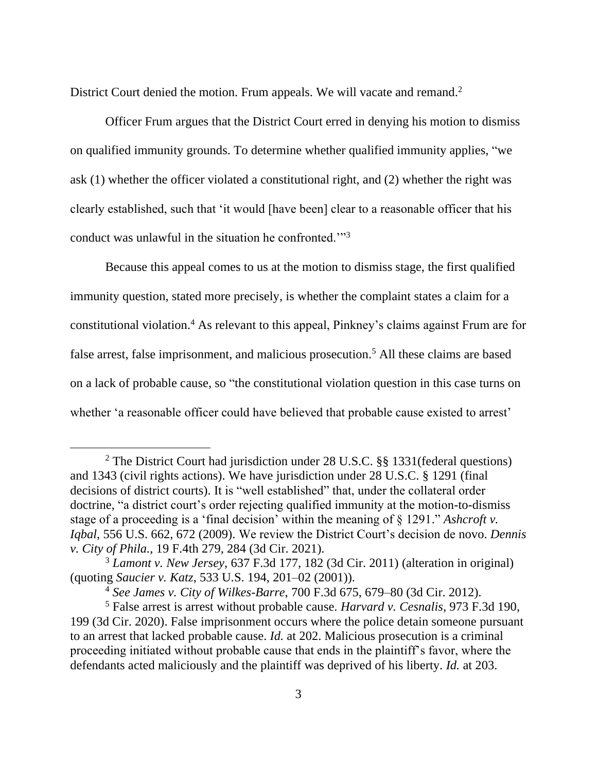District Court denied the motion. Frum appeals. We will vacate and remand.<sup>2</sup>

Officer Frum argues that the District Court erred in denying his motion to dismiss on qualified immunity grounds. To determine whether qualified immunity applies, "we ask (1) whether the officer violated a constitutional right, and (2) whether the right was clearly established, such that 'it would [have been] clear to a reasonable officer that his conduct was unlawful in the situation he confronted.'"<sup>3</sup>

Because this appeal comes to us at the motion to dismiss stage, the first qualified immunity question, stated more precisely, is whether the complaint states a claim for a constitutional violation. <sup>4</sup> As relevant to this appeal, Pinkney's claims against Frum are for false arrest, false imprisonment, and malicious prosecution.<sup>5</sup> All these claims are based on a lack of probable cause, so "the constitutional violation question in this case turns on whether 'a reasonable officer could have believed that probable cause existed to arrest'

<sup>2</sup> The District Court had jurisdiction under 28 U.S.C. §§ 1331(federal questions) and 1343 (civil rights actions). We have jurisdiction under 28 U.S.C. § 1291 (final decisions of district courts). It is "well established" that, under the collateral order doctrine, "a district court's order rejecting qualified immunity at the motion-to-dismiss stage of a proceeding is a 'final decision' within the meaning of § 1291." *Ashcroft v. Iqbal*, 556 U.S. 662, 672 (2009). We review the District Court's decision de novo. *Dennis v. City of Phila.*, 19 F.4th 279, 284 (3d Cir. 2021).

<sup>3</sup> *Lamont v. New Jersey*, 637 F.3d 177, 182 (3d Cir. 2011) (alteration in original) (quoting *Saucier v. Katz*, 533 U.S. 194, 201–02 (2001)).

<sup>4</sup> *See James v. City of Wilkes-Barre*, 700 F.3d 675, 679–80 (3d Cir. 2012).

<sup>5</sup> False arrest is arrest without probable cause. *Harvard v. Cesnalis*, 973 F.3d 190, 199 (3d Cir. 2020). False imprisonment occurs where the police detain someone pursuant to an arrest that lacked probable cause. *Id.* at 202. Malicious prosecution is a criminal proceeding initiated without probable cause that ends in the plaintiff's favor, where the defendants acted maliciously and the plaintiff was deprived of his liberty. *Id.* at 203.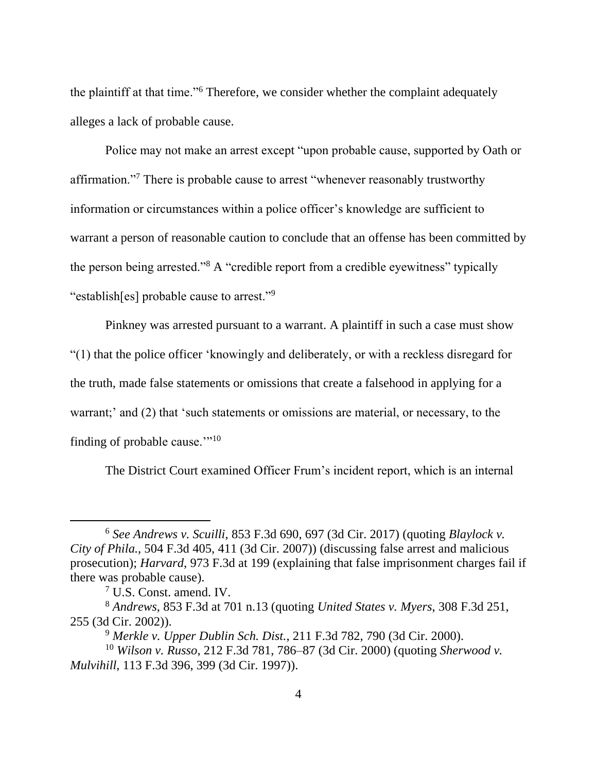the plaintiff at that time."<sup>6</sup> Therefore, we consider whether the complaint adequately alleges a lack of probable cause.

Police may not make an arrest except "upon probable cause, supported by Oath or affirmation."<sup>7</sup> There is probable cause to arrest "whenever reasonably trustworthy information or circumstances within a police officer's knowledge are sufficient to warrant a person of reasonable caution to conclude that an offense has been committed by the person being arrested."<sup>8</sup> A "credible report from a credible eyewitness" typically "establish[es] probable cause to arrest."<sup>9</sup>

Pinkney was arrested pursuant to a warrant. A plaintiff in such a case must show "(1) that the police officer 'knowingly and deliberately, or with a reckless disregard for the truth, made false statements or omissions that create a falsehood in applying for a warrant;' and (2) that 'such statements or omissions are material, or necessary, to the finding of probable cause." $10$ 

The District Court examined Officer Frum's incident report, which is an internal

<sup>6</sup> *See Andrews v. Scuilli*, 853 F.3d 690, 697 (3d Cir. 2017) (quoting *Blaylock v. City of Phila.*, 504 F.3d 405, 411 (3d Cir. 2007)) (discussing false arrest and malicious prosecution); *Harvard*, 973 F.3d at 199 (explaining that false imprisonment charges fail if there was probable cause).

<sup>7</sup> U.S. Const. amend. IV.

<sup>8</sup> *Andrews*, 853 F.3d at 701 n.13 (quoting *United States v. Myers*, 308 F.3d 251, 255 (3d Cir. 2002)).

<sup>9</sup> *Merkle v. Upper Dublin Sch. Dist.*, 211 F.3d 782, 790 (3d Cir. 2000). <sup>10</sup> *Wilson v. Russo*, 212 F.3d 781, 786–87 (3d Cir. 2000) (quoting *Sherwood v.* 

*Mulvihill*, 113 F.3d 396, 399 (3d Cir. 1997)).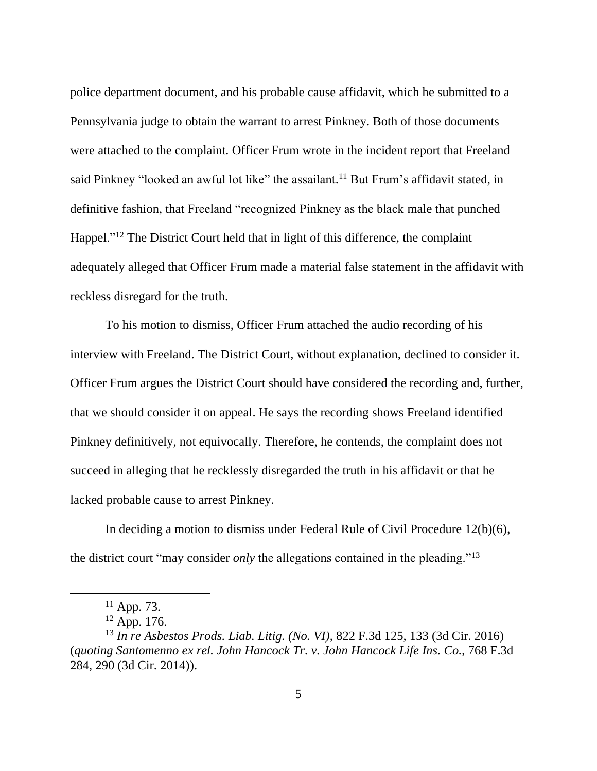police department document, and his probable cause affidavit, which he submitted to a Pennsylvania judge to obtain the warrant to arrest Pinkney. Both of those documents were attached to the complaint. Officer Frum wrote in the incident report that Freeland said Pinkney "looked an awful lot like" the assailant.<sup>11</sup> But Frum's affidavit stated, in definitive fashion, that Freeland "recognized Pinkney as the black male that punched Happel."<sup>12</sup> The District Court held that in light of this difference, the complaint adequately alleged that Officer Frum made a material false statement in the affidavit with reckless disregard for the truth.

To his motion to dismiss, Officer Frum attached the audio recording of his interview with Freeland. The District Court, without explanation, declined to consider it. Officer Frum argues the District Court should have considered the recording and, further, that we should consider it on appeal. He says the recording shows Freeland identified Pinkney definitively, not equivocally. Therefore, he contends, the complaint does not succeed in alleging that he recklessly disregarded the truth in his affidavit or that he lacked probable cause to arrest Pinkney.

In deciding a motion to dismiss under Federal Rule of Civil Procedure 12(b)(6), the district court "may consider *only* the allegations contained in the pleading."<sup>13</sup>

 $11$  App. 73.

 $12$  App. 176.

<sup>13</sup> *In re Asbestos Prods. Liab. Litig. (No. VI)*, 822 F.3d 125, 133 (3d Cir. 2016) (*quoting Santomenno ex rel. John Hancock Tr. v. John Hancock Life Ins. Co.*, 768 F.3d 284, 290 (3d Cir. 2014)).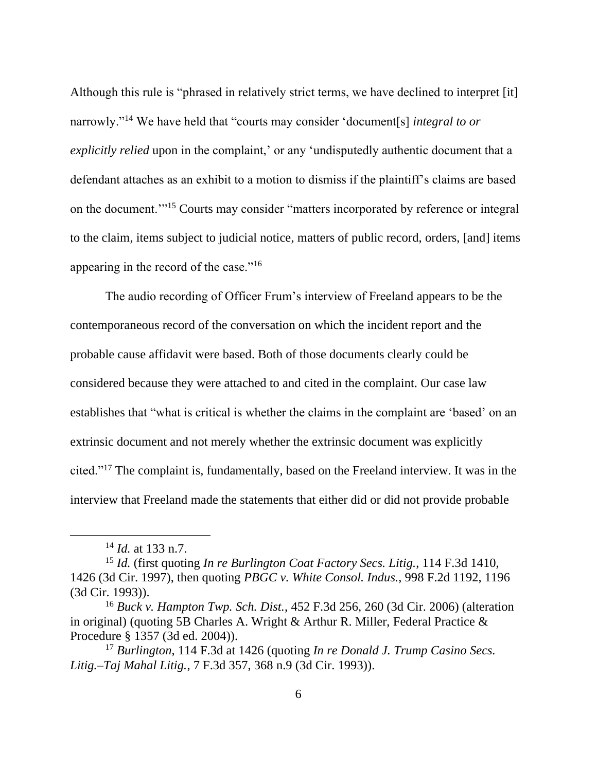Although this rule is "phrased in relatively strict terms, we have declined to interpret [it] narrowly."<sup>14</sup> We have held that "courts may consider 'document[s] *integral to or explicitly relied* upon in the complaint,' or any 'undisputedly authentic document that a defendant attaches as an exhibit to a motion to dismiss if the plaintiff's claims are based on the document.'"<sup>15</sup> Courts may consider "matters incorporated by reference or integral to the claim, items subject to judicial notice, matters of public record, orders, [and] items appearing in the record of the case."<sup>16</sup>

The audio recording of Officer Frum's interview of Freeland appears to be the contemporaneous record of the conversation on which the incident report and the probable cause affidavit were based. Both of those documents clearly could be considered because they were attached to and cited in the complaint. Our case law establishes that "what is critical is whether the claims in the complaint are 'based' on an extrinsic document and not merely whether the extrinsic document was explicitly cited."<sup>17</sup> The complaint is, fundamentally, based on the Freeland interview. It was in the interview that Freeland made the statements that either did or did not provide probable

<sup>14</sup> *Id.* at 133 n.7.

<sup>15</sup> *Id.* (first quoting *In re Burlington Coat Factory Secs. Litig.*, 114 F.3d 1410, 1426 (3d Cir. 1997), then quoting *PBGC v. White Consol. Indus.*, 998 F.2d 1192, 1196 (3d Cir. 1993)).

<sup>16</sup> *Buck v. Hampton Twp. Sch. Dist.*, 452 F.3d 256, 260 (3d Cir. 2006) (alteration in original) (quoting 5B Charles A. Wright & Arthur R. Miller, Federal Practice & Procedure § 1357 (3d ed. 2004)).

<sup>17</sup> *Burlington*, 114 F.3d at 1426 (quoting *In re Donald J. Trump Casino Secs. Litig.–Taj Mahal Litig.*, 7 F.3d 357, 368 n.9 (3d Cir. 1993)).